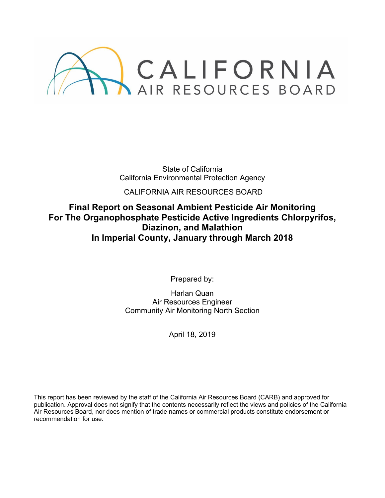

State of California California Environmental Protection Agency

CALIFORNIA AIR RESOURCES BOARD

# **Final Report on Seasonal Ambient Pesticide Air Monitoring For The Organophosphate Pesticide Active Ingredients Chlorpyrifos, Diazinon, and Malathion In Imperial County, January through March 2018**

Prepared by:

Harlan Quan Air Resources Engineer Community Air Monitoring North Section

April 18, 2019

This report has been reviewed by the staff of the California Air Resources Board (CARB) and approved for publication. Approval does not signify that the contents necessarily reflect the views and policies of the California Air Resources Board, nor does mention of trade names or commercial products constitute endorsement or recommendation for use.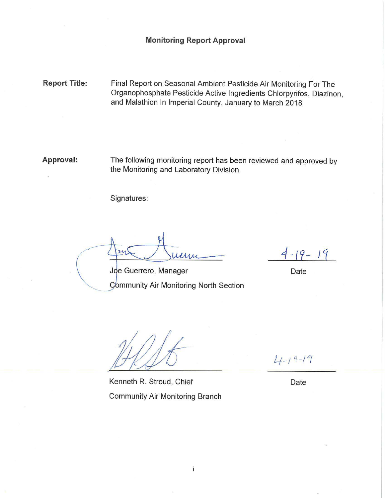**Report Title:** Final Report on Seasonal Ambient Pesticide Air Monitoring For The Organophosphate Pesticide Active Ingredients Chlorpyrifos, Diazinon, and Malathion In Imperial County, January to March 2018

**Approval:** The following monitoring report has been reviewed and approved by the Monitoring and Laboratory Division.

Signatures:

Leri

 $4 - 19 - 19$ 

Date

Joe Guerrero, Manager

Community Air Monitoring North Section

Kenneth R. Stroud, Chief **Community Air Monitoring Branch** 

 $4 - 19 - 19$ 

Date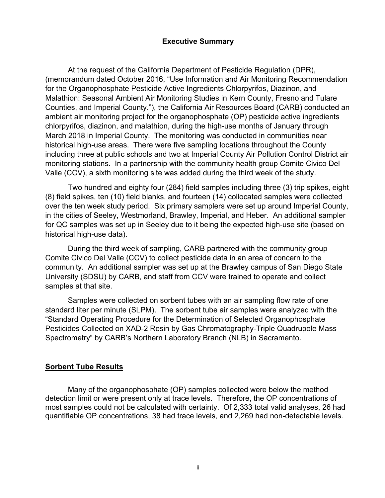### **Executive Summary**

At the request of the California Department of Pesticide Regulation (DPR), (memorandum dated October 2016, "Use Information and Air Monitoring Recommendation for the Organophosphate Pesticide Active Ingredients Chlorpyrifos, Diazinon, and Malathion: Seasonal Ambient Air Monitoring Studies in Kern County, Fresno and Tulare Counties, and Imperial County."), the California Air Resources Board (CARB) conducted an ambient air monitoring project for the organophosphate (OP) pesticide active ingredients chlorpyrifos, diazinon, and malathion, during the high-use months of January through March 2018 in Imperial County. The monitoring was conducted in communities near historical high-use areas. There were five sampling locations throughout the County including three at public schools and two at Imperial County Air Pollution Control District air monitoring stations. In a partnership with the community health group Comite Civico Del Valle (CCV), a sixth monitoring site was added during the third week of the study.

Two hundred and eighty four (284) field samples including three (3) trip spikes, eight (8) field spikes, ten (10) field blanks, and fourteen (14) collocated samples were collected over the ten week study period. Six primary samplers were set up around Imperial County, in the cities of Seeley, Westmorland, Brawley, Imperial, and Heber. An additional sampler for QC samples was set up in Seeley due to it being the expected high-use site (based on historical high-use data).

During the third week of sampling, CARB partnered with the community group Comite Civico Del Valle (CCV) to collect pesticide data in an area of concern to the community. An additional sampler was set up at the Brawley campus of San Diego State University (SDSU) by CARB, and staff from CCV were trained to operate and collect samples at that site.

Samples were collected on sorbent tubes with an air sampling flow rate of one standard liter per minute (SLPM). The sorbent tube air samples were analyzed with the "Standard Operating Procedure for the Determination of Selected Organophosphate Pesticides Collected on XAD-2 Resin by Gas Chromatography-Triple Quadrupole Mass Spectrometry" by CARB's Northern Laboratory Branch (NLB) in Sacramento.

#### **Sorbent Tube Results**

Many of the organophosphate (OP) samples collected were below the method detection limit or were present only at trace levels. Therefore, the OP concentrations of most samples could not be calculated with certainty. Of 2,333 total valid analyses, 26 had quantifiable OP concentrations, 38 had trace levels, and 2,269 had non-detectable levels.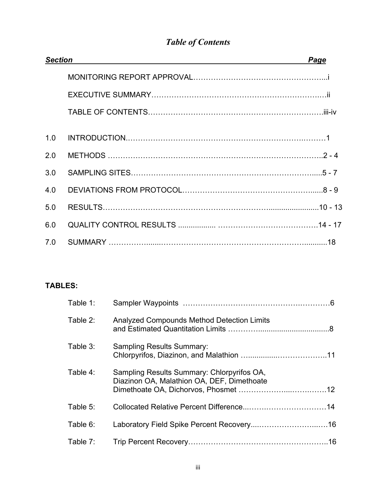| <b>Section</b> | Page |
|----------------|------|
|                |      |
|                |      |
|                |      |
| 1.0            |      |
| 2.0            |      |
| 3.0            |      |
| 4.0            |      |
| 5.0            |      |
| 6.0            |      |
| 7.0            |      |

# *Table of Contents*

# **TABLES:**

| Table 1: |                                                                                          |  |
|----------|------------------------------------------------------------------------------------------|--|
| Table 2: | <b>Analyzed Compounds Method Detection Limits</b>                                        |  |
| Table 3: | <b>Sampling Results Summary:</b>                                                         |  |
| Table 4: | Sampling Results Summary: Chlorpyrifos OA,<br>Diazinon OA, Malathion OA, DEF, Dimethoate |  |
| Table 5: |                                                                                          |  |
| Table 6: |                                                                                          |  |
| Table 7: |                                                                                          |  |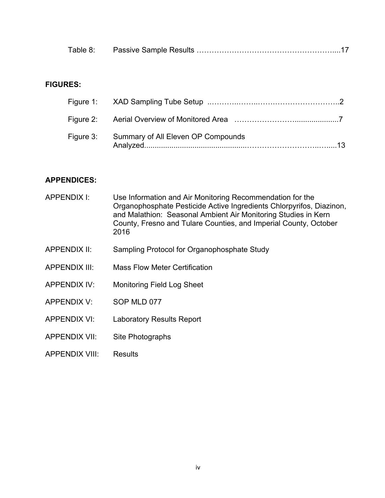| Table |  |  |
|-------|--|--|
|-------|--|--|

# **FIGURES:**

| Figure 3: Summary of All Eleven OP Compounds |
|----------------------------------------------|

### **APPENDICES:**

| APPENDIX I:           | Use Information and Air Monitoring Recommendation for the<br>Organophosphate Pesticide Active Ingredients Chlorpyrifos, Diazinon,<br>and Malathion: Seasonal Ambient Air Monitoring Studies in Kern<br>County, Fresno and Tulare Counties, and Imperial County, October<br>2016 |
|-----------------------|---------------------------------------------------------------------------------------------------------------------------------------------------------------------------------------------------------------------------------------------------------------------------------|
| <b>APPENDIX II:</b>   | Sampling Protocol for Organophosphate Study                                                                                                                                                                                                                                     |
| <b>APPENDIX III:</b>  | <b>Mass Flow Meter Certification</b>                                                                                                                                                                                                                                            |
| <b>APPENDIX IV:</b>   | <b>Monitoring Field Log Sheet</b>                                                                                                                                                                                                                                               |
| <b>APPENDIX V:</b>    | SOP MLD 077                                                                                                                                                                                                                                                                     |
| APPENDIX VI:          | <b>Laboratory Results Report</b>                                                                                                                                                                                                                                                |
| <b>APPENDIX VII:</b>  | Site Photographs                                                                                                                                                                                                                                                                |
| <b>APPENDIX VIII:</b> | <b>Results</b>                                                                                                                                                                                                                                                                  |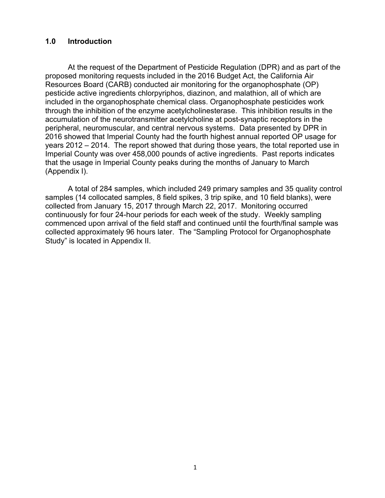### **1.0 Introduction**

At the request of the Department of Pesticide Regulation (DPR) and as part of the proposed monitoring requests included in the 2016 Budget Act, the California Air Resources Board (CARB) conducted air monitoring for the organophosphate (OP) pesticide active ingredients chlorpyriphos, diazinon, and malathion, all of which are included in the organophosphate chemical class. Organophosphate pesticides work through the inhibition of the enzyme acetylcholinesterase. This inhibition results in the accumulation of the neurotransmitter acetylcholine at post-synaptic receptors in the peripheral, neuromuscular, and central nervous systems. Data presented by DPR in 2016 showed that Imperial County had the fourth highest annual reported OP usage for years 2012 – 2014. The report showed that during those years, the total reported use in Imperial County was over 458,000 pounds of active ingredients. Past reports indicates that the usage in Imperial County peaks during the months of January to March (Appendix I).

A total of 284 samples, which included 249 primary samples and 35 quality control samples (14 collocated samples, 8 field spikes, 3 trip spike, and 10 field blanks), were collected from January 15, 2017 through March 22, 2017. Monitoring occurred continuously for four 24-hour periods for each week of the study. Weekly sampling commenced upon arrival of the field staff and continued until the fourth/final sample was collected approximately 96 hours later. The "Sampling Protocol for Organophosphate Study" is located in Appendix II.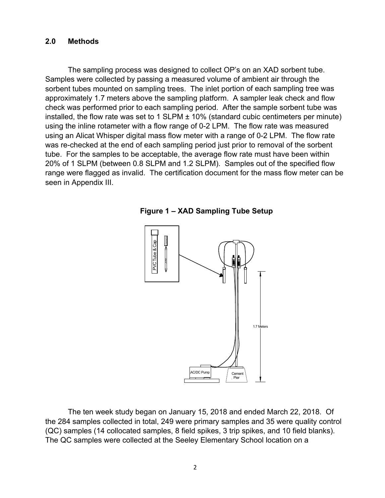#### **2.0 Methods**

The sampling process was designed to collect OP's on an XAD sorbent tube. Samples were collected by passing a measured volume of ambient air through the sorbent tubes mounted on sampling trees. The inlet portion of each sampling tree was approximately 1.7 meters above the sampling platform. A sampler leak check and flow check was performed prior to each sampling period. After the sample sorbent tube was installed, the flow rate was set to 1 SLPM  $\pm$  10% (standard cubic centimeters per minute) using the inline rotameter with a flow range of 0-2 LPM. The flow rate was measured using an Alicat Whisper digital mass flow meter with a range of 0-2 LPM. The flow rate was re-checked at the end of each sampling period just prior to removal of the sorbent tube. For the samples to be acceptable, the average flow rate must have been within 20% of 1 SLPM (between 0.8 SLPM and 1.2 SLPM). Samples out of the specified flow range were flagged as invalid. The certification document for the mass flow meter can be seen in Appendix III.





The ten week study began on January 15, 2018 and ended March 22, 2018. Of the 284 samples collected in total, 249 were primary samples and 35 were quality control (QC) samples (14 collocated samples, 8 field spikes, 3 trip spikes, and 10 field blanks). The QC samples were collected at the Seeley Elementary School location on a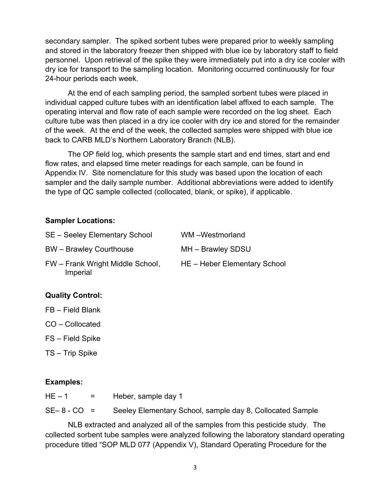secondary sampler. The spiked sorbent tubes were prepared prior to weekly sampling and stored in the laboratory freezer then shipped with blue ice by laboratory staff to field personnel. Upon retrieval of the spike they were immediately put into a dry ice cooler with dry ice for transport to the sampling location. Monitoring occurred continuously for four 24-hour periods each week.

At the end of each sampling period, the sampled sorbent tubes were placed in individual capped culture tubes with an identification label affixed to each sample. The operating interval and flow rate of each sample were recorded on the log sheet. Each culture tube was then placed in a dry ice cooler with dry ice and stored for the remainder of the week. At the end of the week, the collected samples were shipped with blue ice back to CARB MLD's Northern Laboratory Branch (NLB).

The OP field log, which presents the sample start and end times, start and end flow rates, and elapsed time meter readings for each sample, can be found in Appendix IV. Site nomenclature for this study was based upon the location of each sampler and the daily sample number. Additional abbreviations were added to identify the type of QC sample collected (collocated, blank, or spike), if applicable.

### **Sampler Locations:**

| SE - Seeley Elementary School                | WM-Westmorland               |
|----------------------------------------------|------------------------------|
| <b>BW</b> – Brawley Courthouse               | MH - Brawley SDSU            |
| FW - Frank Wright Middle School,<br>Imperial | HE - Heber Elementary School |

### **Quality Control:**

FB – Field Blank

CO – Collocated

FS – Field Spike

TS – Trip Spike

### **Examples:**

| $HE-1$      | = Heber, sample day 1                                     |
|-------------|-----------------------------------------------------------|
| $SE-8-CO =$ | Seeley Elementary School, sample day 8, Collocated Sample |

NLB extracted and analyzed all of the samples from this pesticide study. The collected sorbent tube samples were analyzed following the laboratory standard operating procedure titled "SOP MLD 077 (Appendix V), Standard Operating Procedure for the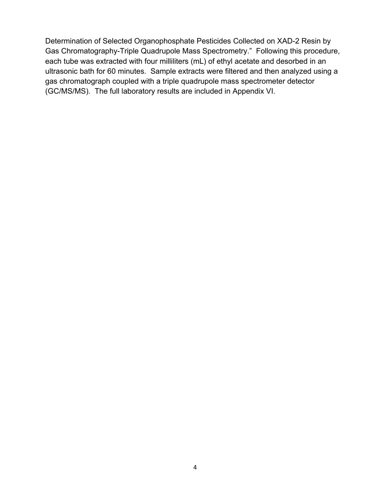Determination of Selected Organophosphate Pesticides Collected on XAD-2 Resin by Gas Chromatography-Triple Quadrupole Mass Spectrometry." Following this procedure, each tube was extracted with four milliliters (mL) of ethyl acetate and desorbed in an ultrasonic bath for 60 minutes. Sample extracts were filtered and then analyzed using a gas chromatograph coupled with a triple quadrupole mass spectrometer detector (GC/MS/MS). The full laboratory results are included in Appendix VI.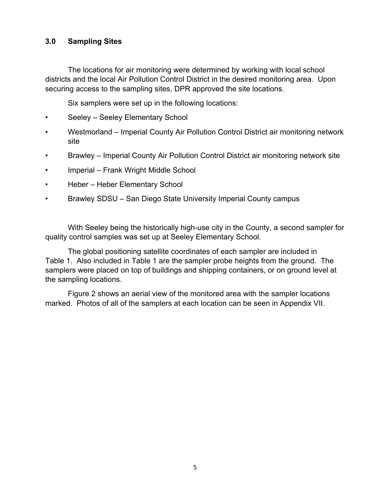### **3.0 Sampling Sites**

The locations for air monitoring were determined by working with local school districts and the local Air Pollution Control District in the desired monitoring area. Upon securing access to the sampling sites, DPR approved the site locations.

Six samplers were set up in the following locations:

- Seeley Seeley Elementary School
- Westmorland Imperial County Air Pollution Control District air monitoring network site
- Brawley Imperial County Air Pollution Control District air monitoring network site
- Imperial Frank Wright Middle School
- Heber Heber Elementary School
- Brawley SDSU San Diego State University Imperial County campus

With Seeley being the historically high-use city in the County, a second sampler for quality control samples was set up at Seeley Elementary School.

The global positioning satellite coordinates of each sampler are included in Table 1. Also included in Table 1 are the sampler probe heights from the ground. The samplers were placed on top of buildings and shipping containers, or on ground level at the sampling locations.

Figure 2 shows an aerial view of the monitored area with the sampler locations marked. Photos of all of the samplers at each location can be seen in Appendix VII.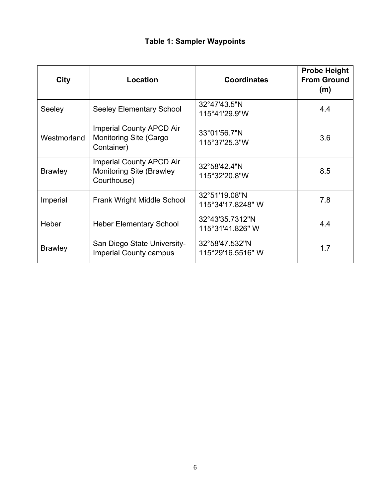# **Table 1: Sampler Waypoints**

| <b>City</b>    | Location                                                                          | <b>Coordinates</b>                  | <b>Probe Height</b><br><b>From Ground</b><br>(m) |
|----------------|-----------------------------------------------------------------------------------|-------------------------------------|--------------------------------------------------|
| Seeley         | <b>Seeley Elementary School</b>                                                   | 32°47'43.5"N<br>115°41'29.9"W       | 4.4                                              |
| Westmorland    | <b>Imperial County APCD Air</b><br><b>Monitoring Site (Cargo</b><br>Container)    | 33°01'56.7"N<br>115°37'25.3"W       | 3.6                                              |
| <b>Brawley</b> | <b>Imperial County APCD Air</b><br><b>Monitoring Site (Brawley</b><br>Courthouse) | 32°58'42.4"N<br>115°32'20.8"W       | 8.5                                              |
| Imperial       | <b>Frank Wright Middle School</b>                                                 | 32°51'19.08"N<br>115°34'17.8248" W  | 7.8                                              |
| Heber          | <b>Heber Elementary School</b>                                                    | 32°43'35.7312"N<br>115°31'41.826" W | 4.4                                              |
| <b>Brawley</b> | San Diego State University-<br><b>Imperial County campus</b>                      | 32°58'47.532"N<br>115°29'16.5516" W | 1.7                                              |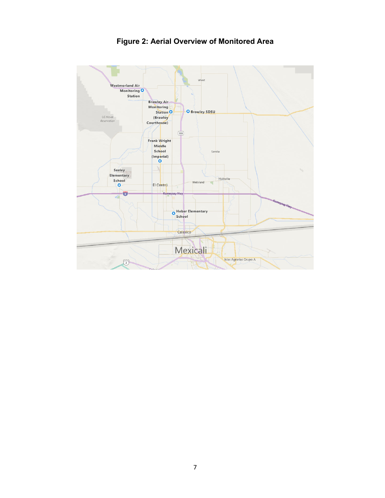

# **Figure 2: Aerial Overview of Monitored Area**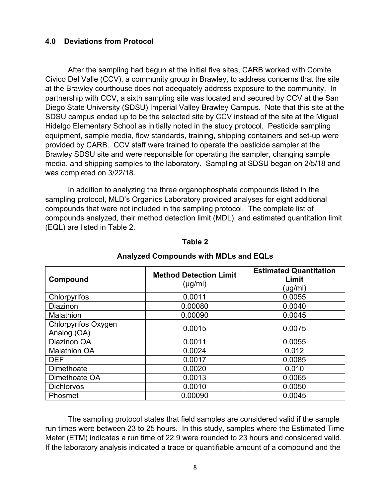### **4.0 Deviations from Protocol**

After the sampling had begun at the initial five sites, CARB worked with Comite Civico Del Valle (CCV), a community group in Brawley, to address concerns that the site at the Brawley courthouse does not adequately address exposure to the community. In partnership with CCV, a sixth sampling site was located and secured by CCV at the San Diego State University (SDSU) Imperial Valley Brawley Campus. Note that this site at the SDSU campus ended up to be the selected site by CCV instead of the site at the Miguel Hidelgo Elementary School as initially noted in the study protocol. Pesticide sampling equipment, sample media, flow standards, training, shipping containers and set-up were provided by CARB. CCV staff were trained to operate the pesticide sampler at the Brawley SDSU site and were responsible for operating the sampler, changing sample media, and shipping samples to the laboratory. Sampling at SDSU began on 2/5/18 and was completed on 3/22/18.

 In addition to analyzing the three organophosphate compounds listed in the sampling protocol, MLD's Organics Laboratory provided analyses for eight additional compounds that were not included in the sampling protocol. The complete list of compounds analyzed, their method detection limit (MDL), and estimated quantitation limit (EQL) are listed in Table 2.

| Compound                                  | <b>Method Detection Limit</b><br>$(\mu g/ml)$ | <b>Estimated Quantitation</b><br>Limit<br>(µg/ml) |
|-------------------------------------------|-----------------------------------------------|---------------------------------------------------|
| Chlorpyrifos                              | 0.0011                                        | 0.0055                                            |
| <b>Diazinon</b>                           | 0.00080                                       | 0.0040                                            |
| <b>Malathion</b>                          | 0.00090                                       | 0.0045                                            |
| <b>Chlorpyrifos Oxygen</b><br>Analog (OA) | 0.0015                                        | 0.0075                                            |
| Diazinon OA                               | 0.0011                                        | 0.0055                                            |
| <b>Malathion OA</b>                       | 0.0024                                        | 0.012                                             |
| <b>DEF</b>                                | 0.0017                                        | 0.0085                                            |
| <b>Dimethoate</b>                         | 0.0020                                        | 0.010                                             |
| Dimethoate OA                             | 0.0013                                        | 0.0065                                            |
| <b>Dichlorvos</b>                         | 0.0010                                        | 0.0050                                            |
| Phosmet                                   | 0.00090                                       | 0.0045                                            |

### **Table 2**

#### **Analyzed Compounds with MDLs and EQLs**

The sampling protocol states that field samples are considered valid if the sample run times were between 23 to 25 hours. In this study, samples where the Estimated Time Meter (ETM) indicates a run time of 22.9 were rounded to 23 hours and considered valid. If the laboratory analysis indicated a trace or quantifiable amount of a compound and the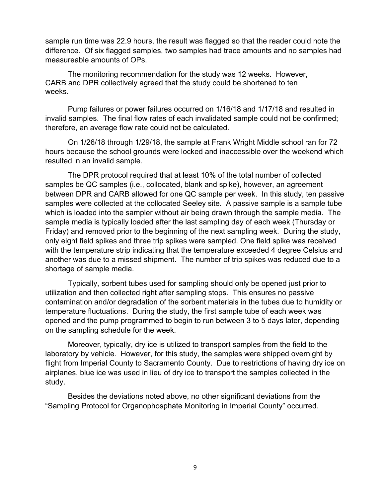sample run time was 22.9 hours, the result was flagged so that the reader could note the difference. Of six flagged samples, two samples had trace amounts and no samples had measureable amounts of OPs.

The monitoring recommendation for the study was 12 weeks. However, CARB and DPR collectively agreed that the study could be shortened to ten weeks.

Pump failures or power failures occurred on 1/16/18 and 1/17/18 and resulted in invalid samples. The final flow rates of each invalidated sample could not be confirmed; therefore, an average flow rate could not be calculated.

 On 1/26/18 through 1/29/18, the sample at Frank Wright Middle school ran for 72 hours because the school grounds were locked and inaccessible over the weekend which resulted in an invalid sample.

The DPR protocol required that at least 10% of the total number of collected samples be QC samples (i.e., collocated, blank and spike), however, an agreement between DPR and CARB allowed for one QC sample per week. In this study, ten passive samples were collected at the collocated Seeley site. A passive sample is a sample tube which is loaded into the sampler without air being drawn through the sample media. The sample media is typically loaded after the last sampling day of each week (Thursday or Friday) and removed prior to the beginning of the next sampling week. During the study, only eight field spikes and three trip spikes were sampled. One field spike was received with the temperature strip indicating that the temperature exceeded 4 degree Celsius and another was due to a missed shipment. The number of trip spikes was reduced due to a shortage of sample media.

Typically, sorbent tubes used for sampling should only be opened just prior to utilization and then collected right after sampling stops. This ensures no passive contamination and/or degradation of the sorbent materials in the tubes due to humidity or temperature fluctuations. During the study, the first sample tube of each week was opened and the pump programmed to begin to run between 3 to 5 days later, depending on the sampling schedule for the week.

Moreover, typically, dry ice is utilized to transport samples from the field to the laboratory by vehicle. However, for this study, the samples were shipped overnight by flight from Imperial County to Sacramento County. Due to restrictions of having dry ice on airplanes, blue ice was used in lieu of dry ice to transport the samples collected in the study.

Besides the deviations noted above, no other significant deviations from the "Sampling Protocol for Organophosphate Monitoring in Imperial County" occurred.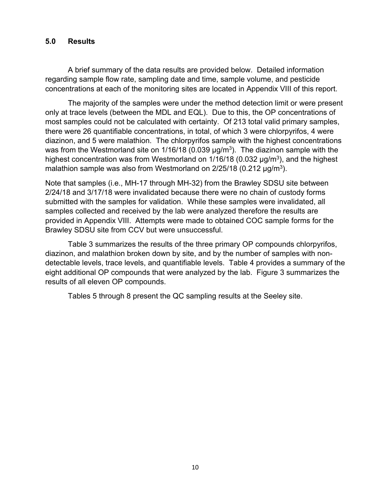### **5.0 Results**

A brief summary of the data results are provided below. Detailed information regarding sample flow rate, sampling date and time, sample volume, and pesticide concentrations at each of the monitoring sites are located in Appendix VIII of this report.

The majority of the samples were under the method detection limit or were present only at trace levels (between the MDL and EQL). Due to this, the OP concentrations of most samples could not be calculated with certainty. Of 213 total valid primary samples, there were 26 quantifiable concentrations, in total, of which 3 were chlorpyrifos, 4 were diazinon, and 5 were malathion. The chlorpyrifos sample with the highest concentrations was from the Westmorland site on  $1/16/18$  (0.039  $\mu$ g/m<sup>3</sup>). The diazinon sample with the highest concentration was from Westmorland on  $1/16/18$  (0.032  $\mu q/m^3$ ), and the highest malathion sample was also from Westmorland on  $2/25/18$  (0.212  $\mu$ g/m<sup>3</sup>).

Note that samples (i.e., MH-17 through MH-32) from the Brawley SDSU site between 2/24/18 and 3/17/18 were invalidated because there were no chain of custody forms submitted with the samples for validation. While these samples were invalidated, all samples collected and received by the lab were analyzed therefore the results are provided in Appendix VIII. Attempts were made to obtained COC sample forms for the Brawley SDSU site from CCV but were unsuccessful.

Table 3 summarizes the results of the three primary OP compounds chlorpyrifos, diazinon, and malathion broken down by site, and by the number of samples with nondetectable levels, trace levels, and quantifiable levels. Table 4 provides a summary of the eight additional OP compounds that were analyzed by the lab. Figure 3 summarizes the results of all eleven OP compounds.

Tables 5 through 8 present the QC sampling results at the Seeley site.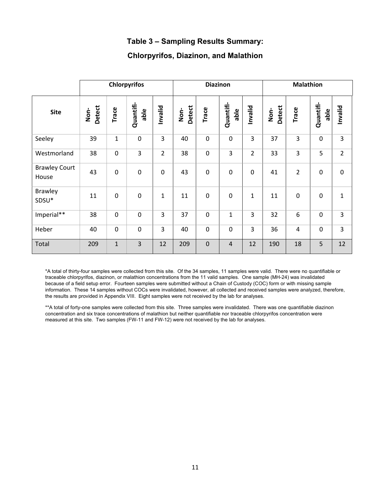### **Table 3 – Sampling Results Summary:**

### **Chlorpyrifos, Diazinon, and Malathion**

|                               | <b>Chlorpyrifos</b> |              |                   |                |                | <b>Diazinon</b> |                   |                |                | <b>Malathion</b> |                   |                |  |
|-------------------------------|---------------------|--------------|-------------------|----------------|----------------|-----------------|-------------------|----------------|----------------|------------------|-------------------|----------------|--|
| <b>Site</b>                   | Detect<br>Non-      | Trace        | Quantifi-<br>able | hvalid         | Detect<br>Non- | Trace           | Quantifi-<br>able | Invalid        | Detect<br>Non- | Trace            | Quantifi-<br>able | Invalid        |  |
| Seeley                        | 39                  | $\mathbf{1}$ | $\mathbf 0$       | 3              | 40             | $\mathbf 0$     | $\mathbf 0$       | 3              | 37             | 3                | $\mathbf 0$       | 3              |  |
| Westmorland                   | 38                  | $\mathbf 0$  | 3                 | $\overline{2}$ | 38             | $\mathbf 0$     | 3                 | $\overline{2}$ | 33             | 3                | 5                 | $\overline{2}$ |  |
| <b>Brawley Court</b><br>House | 43                  | $\mathbf 0$  | $\mathbf 0$       | 0              | 43             | $\mathbf 0$     | $\mathbf 0$       | $\mathbf 0$    | 41             | $\overline{2}$   | $\mathbf 0$       | $\mathbf 0$    |  |
| <b>Brawley</b><br>SDSU*       | 11                  | $\mathbf 0$  | $\mathbf 0$       | $\mathbf{1}$   | 11             | $\mathbf 0$     | $\mathbf 0$       | $\mathbf{1}$   | 11             | $\mathbf 0$      | $\mathbf 0$       | $\mathbf{1}$   |  |
| Imperial**                    | 38                  | $\mathbf 0$  | $\mathbf 0$       | $\overline{3}$ | 37             | $\mathbf 0$     | $\mathbf{1}$      | 3              | 32             | 6                | 0                 | 3              |  |
| Heber                         | 40                  | $\mathbf 0$  | $\mathbf 0$       | 3              | 40             | $\mathbf 0$     | $\mathbf 0$       | 3              | 36             | 4                | $\mathbf 0$       | 3              |  |
| Total                         | 209                 | $\mathbf{1}$ | 3                 | 12             | 209            | $\mathbf 0$     | $\overline{4}$    | 12             | 190            | 18               | 5                 | 12             |  |

\*A total of thirty-four samples were collected from this site. Of the 34 samples, 11 samples were valid. There were no quantifiable or traceable chlorpyrifos, diazinon, or malathion concentrations from the 11 valid samples. One sample (MH-24) was invalidated because of a field setup error. Fourteen samples were submitted without a Chain of Custody (COC) form or with missing sample information. These 14 samples without COCs were invalidated, however, all collected and received samples were analyzed, therefore, the results are provided in Appendix VIII. Eight samples were not received by the lab for analyses.

\*\*A total of forty-one samples were collected from this site. Three samples were invalidated. There was one quantifiable diazinon concentration and six trace concentrations of malathion but neither quantifiable nor traceable chlorpyrifos concentration were measured at this site. Two samples (FW-11 and FW-12) were not received by the lab for analyses.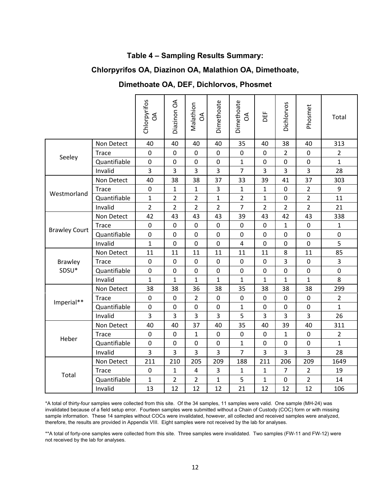### **Table 4 – Sampling Results Summary:**

## **Chlorpyrifos OA, Diazinon OA, Malathion OA, Dimethoate,**

## **Dimethoate OA, DEF, Dichlorvos, Phosmet**

|                      | Chlorpyrifos<br>g | Diazinon OA    | Malathion<br>$\mathcal{S}$ | Dimethoate     | Dimethoate<br>g | DEF            | Dichlorvos     | Phosmet        | Total          |                |
|----------------------|-------------------|----------------|----------------------------|----------------|-----------------|----------------|----------------|----------------|----------------|----------------|
|                      | Non Detect        | 40             | 40                         | 40             | 40              | 35             | 40             | 38             | 40             | 313            |
|                      | Trace             | $\mathbf 0$    | 0                          | $\mathbf 0$    | $\mathbf 0$     | $\mathbf 0$    | $\mathbf 0$    | $\overline{2}$ | $\mathbf 0$    | $\overline{2}$ |
| Seeley               | Quantifiable      | $\mathbf 0$    | 0                          | 0              | $\mathbf 0$     | $\mathbf{1}$   | $\mathbf 0$    | $\mathbf 0$    | $\mathbf 0$    | $\mathbf{1}$   |
|                      | Invalid           | 3              | 3                          | 3              | 3               | $\overline{7}$ | 3              | 3              | 3              | 28             |
|                      | Non Detect        | 40             | 38                         | 38             | 37              | 33             | 39             | 41             | 37             | 303            |
| Westmorland          | <b>Trace</b>      | $\mathbf 0$    | $\mathbf{1}$               | $\mathbf{1}$   | 3               | $\mathbf{1}$   | $\mathbf{1}$   | 0              | $\overline{2}$ | 9              |
|                      | Quantifiable      | $\mathbf 1$    | $\overline{2}$             | $\overline{2}$ | $\mathbf{1}$    | $\overline{2}$ | $\mathbf{1}$   | $\mathbf 0$    | $\overline{2}$ | 11             |
|                      | Invalid           | $\overline{2}$ | $\overline{2}$             | $\overline{2}$ | $\overline{2}$  | $\overline{7}$ | $\overline{2}$ | $\overline{2}$ | $\overline{2}$ | 21             |
|                      | Non Detect        | 42             | 43                         | 43             | 43              | 39             | 43             | 42             | 43             | 338            |
| <b>Brawley Court</b> | Trace             | $\mathbf 0$    | 0                          | 0              | $\mathbf 0$     | $\mathbf 0$    | $\overline{0}$ | $\mathbf{1}$   | $\mathbf 0$    | $\mathbf{1}$   |
|                      | Quantifiable      | $\mathbf 0$    | 0                          | 0              | $\mathbf 0$     | $\mathbf 0$    | 0              | $\mathbf 0$    | $\mathbf 0$    | $\pmb{0}$      |
|                      | Invalid           | $\mathbf{1}$   | 0                          | 0              | $\mathbf 0$     | 4              | 0              | 0              | 0              | 5              |
|                      | Non Detect        | 11             | 11                         | 11             | 11              | 11             | 11             | 8              | 11             | 85             |
| <b>Brawley</b>       | <b>Trace</b>      | $\mathbf 0$    | 0                          | 0              | $\mathbf 0$     | $\overline{0}$ | $\mathbf 0$    | 3              | 0              | 3              |
| SDSU*                | Quantifiable      | $\mathbf 0$    | 0                          | 0              | $\mathbf 0$     | 0              | $\mathbf 0$    | $\mathbf 0$    | 0              | $\pmb{0}$      |
|                      | Invalid           | $\mathbf{1}$   | $\mathbf{1}$               | 1              | $\mathbf{1}$    | $\mathbf{1}$   | $\mathbf{1}$   | $\mathbf{1}$   | 1              | 8              |
|                      | Non Detect        | 38             | 38                         | 36             | 38              | 35             | 38             | 38             | 38             | 299            |
| Imperial**           | <b>Trace</b>      | $\mathbf 0$    | 0                          | $\overline{2}$ | $\mathbf 0$     | $\overline{0}$ | $\overline{0}$ | 0              | $\mathbf 0$    | $\overline{2}$ |
|                      | Quantifiable      | $\mathbf 0$    | 0                          | 0              | $\mathbf 0$     | $\mathbf{1}$   | 0              | 0              | 0              | $\mathbf{1}$   |
|                      | Invalid           | 3              | 3                          | 3              | 3               | 5              | 3              | 3              | 3              | 26             |
|                      | Non Detect        | 40             | 40                         | 37             | 40              | 35             | 40             | 39             | 40             | 311            |
| Heber                | <b>Trace</b>      | $\mathbf 0$    | 0                          | 1              | $\mathbf 0$     | $\overline{0}$ | $\overline{0}$ | $\mathbf{1}$   | $\mathbf 0$    | $\overline{2}$ |
|                      | Quantifiable      | $\mathbf 0$    | 0                          | 0              | $\mathbf 0$     | $\mathbf{1}$   | $\mathbf 0$    | 0              | 0              | $\mathbf{1}$   |
|                      | Invalid           | 3              | 3                          | 3              | 3               | $\overline{7}$ | 3              | 3              | 3              | 28             |
|                      | Non Detect        | 211            | 210                        | 205            | 209             | 188            | 211            | 206            | 209            | 1649           |
| Total                | <b>Trace</b>      | $\mathbf 0$    | 1                          | 4              | 3               | $\mathbf{1}$   | $\mathbf{1}$   | $\overline{7}$ | $\overline{2}$ | 19             |
|                      | Quantifiable      | $\mathbf{1}$   | $\overline{2}$             | $\overline{2}$ | $\mathbf{1}$    | 5              | $\mathbf{1}$   | $\mathbf 0$    | $\overline{2}$ | 14             |
|                      | Invalid           | 13             | 12                         | 12             | 12              | 21             | 12             | 12             | 12             | 106            |

 \*A total of thirty-four samples were collected from this site. Of the 34 samples, 11 samples were valid. One sample (MH-24) was invalidated because of a field setup error. Fourteen samples were submitted without a Chain of Custody (COC) form or with missing sample information. These 14 samples without COCs were invalidated, however, all collected and received samples were analyzed, therefore, the results are provided in Appendix VIII. Eight samples were not received by the lab for analyses.

\*\*A total of forty-one samples were collected from this site. Three samples were invalidated. Two samples (FW-11 and FW-12) were not received by the lab for analyses.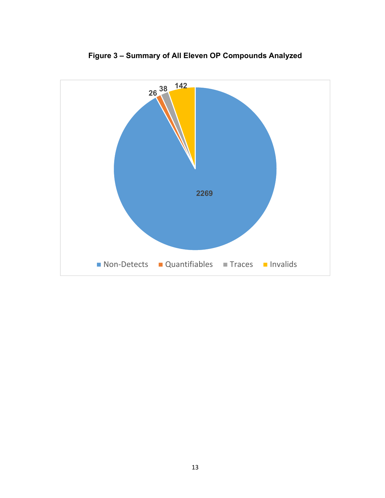

**Figure 3 – Summary of All Eleven OP Compounds Analyzed**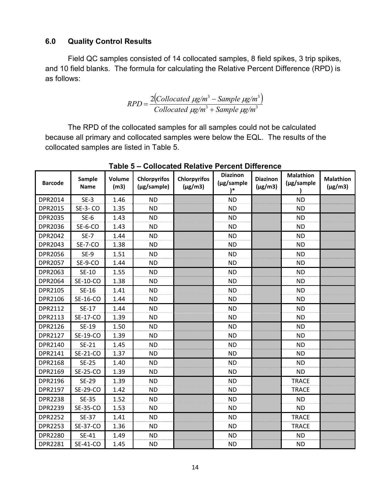### **6.0 Quality Control Results**

Field QC samples consisted of 14 collocated samples, 8 field spikes, 3 trip spikes, and 10 field blanks. The formula for calculating the Relative Percent Difference (RPD) is as follows:

$$
RPD = \frac{2\left(Collocated \ \mu g/m^3 - Sample \ \mu g/m^3\right)}{Collocated \ \mu g/m^3 + Sample \ \mu g/m^3}
$$

The RPD of the collocated samples for all samples could not be calculated because all primary and collocated samples were below the EQL. The results of the collocated samples are listed in Table 5.

| <b>Barcode</b> | Sample<br><b>Name</b> | Volume<br>(m3) | <b>Chlorpyrifos</b><br>(µg/sample) | Chlorpyrifos<br>$(\mu g/m3)$ | <b>Diazinon</b><br>(µg/sample<br>$)^*$ | <b>Diazinon</b><br>$(\mu g/m3)$ | <b>Malathion</b><br>(µg/sample | <b>Malathion</b><br>$(\mu g/m3)$ |
|----------------|-----------------------|----------------|------------------------------------|------------------------------|----------------------------------------|---------------------------------|--------------------------------|----------------------------------|
| DPR2014        | $SE-3$                | 1.46           | <b>ND</b>                          |                              | <b>ND</b>                              |                                 | <b>ND</b>                      |                                  |
| DPR2015        | SE-3-CO               | 1.35           | <b>ND</b>                          |                              | <b>ND</b>                              |                                 | <b>ND</b>                      |                                  |
| <b>DPR2035</b> | $SE-6$                | 1.43           | <b>ND</b>                          |                              | <b>ND</b>                              |                                 | <b>ND</b>                      |                                  |
| DPR2036        | SE-6-CO               | 1.43           | <b>ND</b>                          |                              | <b>ND</b>                              |                                 | <b>ND</b>                      |                                  |
| DPR2042        | $SE-7$                | 1.44           | <b>ND</b>                          |                              | <b>ND</b>                              |                                 | <b>ND</b>                      |                                  |
| DPR2043        | SE-7-CO               | 1.38           | <b>ND</b>                          |                              | <b>ND</b>                              |                                 | <b>ND</b>                      |                                  |
| <b>DPR2056</b> | $SE-9$                | 1.51           | <b>ND</b>                          |                              | <b>ND</b>                              |                                 | <b>ND</b>                      |                                  |
| DPR2057        | SE-9-CO               | 1.44           | <b>ND</b>                          |                              | <b>ND</b>                              |                                 | <b>ND</b>                      |                                  |
| <b>DPR2063</b> | SE-10                 | 1.55           | <b>ND</b>                          |                              | <b>ND</b>                              |                                 | <b>ND</b>                      |                                  |
| DPR2064        | SE-10-CO              | 1.38           | <b>ND</b>                          |                              | <b>ND</b>                              |                                 | <b>ND</b>                      |                                  |
| DPR2105        | SE-16                 | 1.41           | <b>ND</b>                          |                              | <b>ND</b>                              |                                 | <b>ND</b>                      |                                  |
| DPR2106        | SE-16-CO              | 1.44           | <b>ND</b>                          |                              | <b>ND</b>                              |                                 | <b>ND</b>                      |                                  |
| DPR2112        | SE-17                 | 1.44           | <b>ND</b>                          |                              | <b>ND</b>                              |                                 | <b>ND</b>                      |                                  |
| DPR2113        | SE-17-CO              | 1.39           | <b>ND</b>                          |                              | <b>ND</b>                              |                                 | <b>ND</b>                      |                                  |
| DPR2126        | SE-19                 | 1.50           | <b>ND</b>                          |                              | <b>ND</b>                              |                                 | <b>ND</b>                      |                                  |
| DPR2127        | SE-19-CO              | 1.39           | <b>ND</b>                          |                              | <b>ND</b>                              |                                 | <b>ND</b>                      |                                  |
| DPR2140        | SE-21                 | 1.45           | <b>ND</b>                          |                              | <b>ND</b>                              |                                 | <b>ND</b>                      |                                  |
| DPR2141        | SE-21-CO              | 1.37           | <b>ND</b>                          |                              | <b>ND</b>                              |                                 | <b>ND</b>                      |                                  |
| DPR2168        | <b>SE-25</b>          | 1.40           | <b>ND</b>                          |                              | <b>ND</b>                              |                                 | <b>ND</b>                      |                                  |
| DPR2169        | SE-25-CO              | 1.39           | <b>ND</b>                          |                              | <b>ND</b>                              |                                 | <b>ND</b>                      |                                  |
| DPR2196        | <b>SE-29</b>          | 1.39           | <b>ND</b>                          |                              | <b>ND</b>                              |                                 | <b>TRACE</b>                   |                                  |
| DPR2197        | SE-29-CO              | 1.42           | <b>ND</b>                          |                              | <b>ND</b>                              |                                 | <b>TRACE</b>                   |                                  |
| <b>DPR2238</b> | <b>SE-35</b>          | 1.52           | <b>ND</b>                          |                              | <b>ND</b>                              |                                 | <b>ND</b>                      |                                  |
| DPR2239        | SE-35-CO              | 1.53           | <b>ND</b>                          |                              | <b>ND</b>                              |                                 | <b>ND</b>                      |                                  |
| <b>DPR2252</b> | SE-37                 | 1.41           | <b>ND</b>                          |                              | <b>ND</b>                              |                                 | <b>TRACE</b>                   |                                  |
| <b>DPR2253</b> | SE-37-CO              | 1.36           | <b>ND</b>                          |                              | <b>ND</b>                              |                                 | <b>TRACE</b>                   |                                  |
| <b>DPR2280</b> | SE-41                 | 1.49           | <b>ND</b>                          |                              | <b>ND</b>                              |                                 | <b>ND</b>                      |                                  |
| DPR2281        | SE-41-CO              | 1.45           | <b>ND</b>                          |                              | <b>ND</b>                              |                                 | <b>ND</b>                      |                                  |

**Table 5 – Collocated Relative Percent Difference**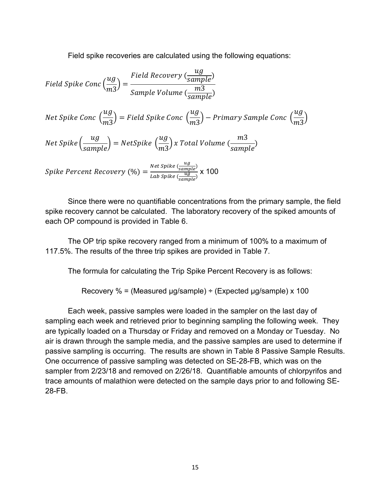Field spike recoveries are calculated using the following equations:

Field Spike Conc 
$$
\left(\frac{ug}{m3}\right) = \frac{Field Recovery \left(\frac{ug}{sample}\right)}{Sample Volume \left(\frac{m3}{sample}\right)}
$$
  
\nNet Spike Conc  $\left(\frac{ug}{m3}\right) = Field Spike Conc \left(\frac{ug}{m3}\right) - Primary Sample Conc \left(\frac{ug}{m3}\right)$   
\nNet Spike  $\left(\frac{ug}{sample}\right) = NetSpike \left(\frac{ug}{m3}\right) x Total Volume \left(\frac{m3}{sample}\right)$   
\nSpike Percent Recovery  $(\%) = \frac{Net Spike \left(\frac{ug}{sample}\right)}{Lab Spike \left(\frac{ug}{sample}\right)} \times 100$ 

Since there were no quantifiable concentrations from the primary sample, the field spike recovery cannot be calculated. The laboratory recovery of the spiked amounts of each OP compound is provided in Table 6.

The OP trip spike recovery ranged from a minimum of 100% to a maximum of 117.5%. The results of the three trip spikes are provided in Table 7.

The formula for calculating the Trip Spike Percent Recovery is as follows:

Recovery % = (Measured μg/sample) ÷ (Expected μg/sample) x 100

Each week, passive samples were loaded in the sampler on the last day of sampling each week and retrieved prior to beginning sampling the following week. They are typically loaded on a Thursday or Friday and removed on a Monday or Tuesday. No air is drawn through the sample media, and the passive samples are used to determine if passive sampling is occurring. The results are shown in Table 8 Passive Sample Results. One occurrence of passive sampling was detected on SE-28-FB, which was on the sampler from 2/23/18 and removed on 2/26/18. Quantifiable amounts of chlorpyrifos and trace amounts of malathion were detected on the sample days prior to and following SE-28-FB.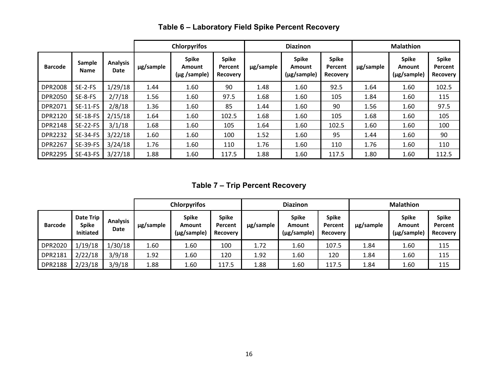|                |                       |                         | <b>Chlorpyrifos</b> |                                             |                              | <b>Diazinon</b> |                                            |                                     | <b>Malathion</b> |                                       |                                     |
|----------------|-----------------------|-------------------------|---------------------|---------------------------------------------|------------------------------|-----------------|--------------------------------------------|-------------------------------------|------------------|---------------------------------------|-------------------------------------|
| <b>Barcode</b> | Sample<br><b>Name</b> | <b>Analysis</b><br>Date | µg/sample           | <b>Spike</b><br>Amount<br>$(\mu$ g /sample) | Spike<br>Percent<br>Recovery | µg/sample       | <b>Spike</b><br>Amount<br>$(\mu$ g/sample) | <b>Spike</b><br>Percent<br>Recovery | µg/sample        | <b>Spike</b><br>Amount<br>(µg/sample) | <b>Spike</b><br>Percent<br>Recovery |
| <b>DPR2008</b> | SE-2-FS               | 1/29/18                 | 1.44                | 1.60                                        | 90                           | 1.48            | 1.60                                       | 92.5                                | 1.64             | 1.60                                  | 102.5                               |
| <b>DPR2050</b> | SE-8-FS               | 2/7/18                  | 1.56                | 1.60                                        | 97.5                         | 1.68            | 1.60                                       | 105                                 | 1.84             | 1.60                                  | 115                                 |
| DPR2071        | <b>SE-11-FS</b>       | 2/8/18                  | 1.36                | 1.60                                        | 85                           | 1.44            | 1.60                                       | 90                                  | 1.56             | 1.60                                  | 97.5                                |
| DPR2120        | <b>SE-18-FS</b>       | 2/15/18                 | 1.64                | 1.60                                        | 102.5                        | 1.68            | 1.60                                       | 105                                 | 1.68             | 1.60                                  | 105                                 |
| <b>DPR2148</b> | <b>SE-22-FS</b>       | 3/1/18                  | 1.68                | 1.60                                        | 105                          | 1.64            | 1.60                                       | 102.5                               | 1.60             | 1.60                                  | 100                                 |
| <b>DPR2232</b> | <b>SE-34-FS</b>       | 3/22/18                 | 1.60                | 1.60                                        | 100                          | 1.52            | 1.60                                       | 95                                  | 1.44             | 1.60                                  | 90                                  |
| <b>DPR2267</b> | <b>SE-39-FS</b>       | 3/24/18                 | 1.76                | 1.60                                        | 110                          | 1.76            | 1.60                                       | 110                                 | 1.76             | 1.60                                  | 110                                 |
| <b>DPR2295</b> | <b>SE-43-FS</b>       | 3/27/18                 | 1.88                | 1.60                                        | 117.5                        | 1.88            | 1.60                                       | 117.5                               | 1.80             | 1.60                                  | 112.5                               |

# **Table 6 – Laboratory Field Spike Percent Recovery**

**Table 7 – Trip Percent Recovery**

| <b>Chlorpyrifos</b> |                                               |                         | <b>Diazinon</b> |                                       |                                            | <b>Malathion</b> |                                       |                                            |           |                                       |                                            |
|---------------------|-----------------------------------------------|-------------------------|-----------------|---------------------------------------|--------------------------------------------|------------------|---------------------------------------|--------------------------------------------|-----------|---------------------------------------|--------------------------------------------|
| <b>Barcode</b>      | Date Trip<br><b>Spike</b><br><b>Initiated</b> | <b>Analysis</b><br>Date | µg/sample       | <b>Spike</b><br>Amount<br>(µg/sample) | <b>Spike</b><br>Percent<br><b>Recovery</b> | ug/sample        | <b>Spike</b><br>Amount<br>(µg/sample) | <b>Spike</b><br>Percent<br><b>Recovery</b> | ug/sample | <b>Spike</b><br>Amount<br>(µg/sample) | <b>Spike</b><br>Percent<br><b>Recovery</b> |
| DPR2020             | 1/19/18                                       | 1/30/18                 | 1.60            | 1.60                                  | 100                                        | 1.72             | 1.60                                  | 107.5                                      | 1.84      | 1.60                                  | 115                                        |
| <b>DPR2181</b>      | 2/22/18                                       | 3/9/18                  | 1.92            | 1.60                                  | 120                                        | 1.92             | 1.60                                  | 120                                        | 1.84      | 1.60                                  | 115                                        |
| <b>DPR2188</b>      | 2/23/18                                       | 3/9/18                  | 1.88            | 1.60                                  | 117.5                                      | 1.88             | 1.60                                  | 117.5                                      | 1.84      | 1.60                                  | 115                                        |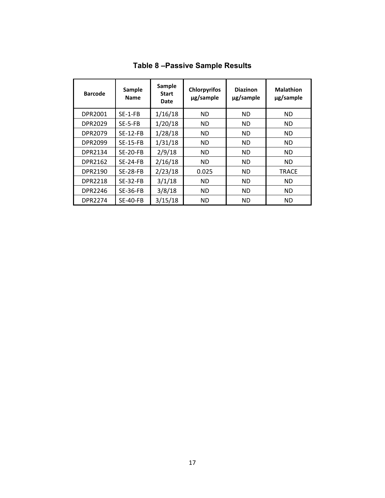| <b>Barcode</b> | <b>Sample</b><br><b>Name</b> | <b>Sample</b><br><b>Start</b><br>Date | <b>Chlorpyrifos</b><br>µg/sample | <b>Diazinon</b><br>ug/sample | <b>Malathion</b><br>µg/sample |
|----------------|------------------------------|---------------------------------------|----------------------------------|------------------------------|-------------------------------|
| DPR2001        | $SE-1-FB$                    | 1/16/18                               | ND.                              | <b>ND</b>                    | <b>ND</b>                     |
| DPR2029        | $SE-5-FB$                    | 1/20/18                               | <b>ND</b>                        | <b>ND</b>                    | <b>ND</b>                     |
| DPR2079        | $SE-12-FB$                   | 1/28/18                               | <b>ND</b>                        | <b>ND</b>                    | <b>ND</b>                     |
| DPR2099        | <b>SE-15-FB</b>              | 1/31/18                               | <b>ND</b>                        | <b>ND</b>                    | <b>ND</b>                     |
| DPR2134        | $SE-20-FB$                   | 2/9/18                                | <b>ND</b>                        | <b>ND</b>                    | <b>ND</b>                     |
| DPR2162        | $SE-24-FB$                   | 2/16/18                               | <b>ND</b>                        | <b>ND</b>                    | <b>ND</b>                     |
| DPR2190        | <b>SE-28-FB</b>              | 2/23/18                               | 0.025                            | <b>ND</b>                    | <b>TRACE</b>                  |
| <b>DPR2218</b> | $SE-32-FB$                   | 3/1/18                                | ND.                              | <b>ND</b>                    | <b>ND</b>                     |
| <b>DPR2246</b> | <b>SE-36-FB</b>              | 3/8/18                                | <b>ND</b>                        | <b>ND</b>                    | <b>ND</b>                     |
| <b>DPR2274</b> | <b>SE-40-FB</b>              | 3/15/18                               | <b>ND</b>                        | <b>ND</b>                    | <b>ND</b>                     |

**Table 8 –Passive Sample Results**